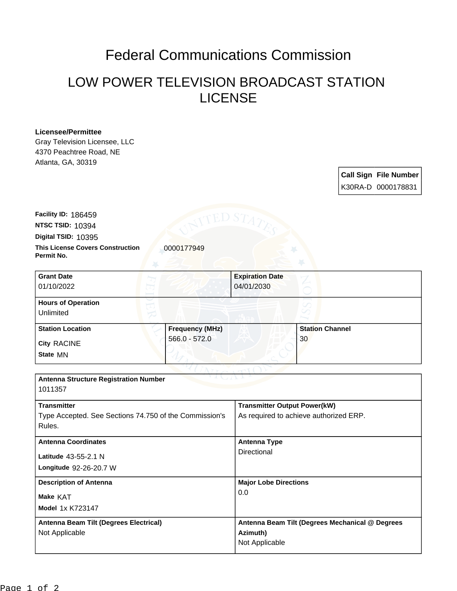## Federal Communications Commission

## LOW POWER TELEVISION BROADCAST STATION LICENSE

## **Licensee/Permittee**

Gray Television Licensee, LLC 4370 Peachtree Road, NE Atlanta, GA, 30319

> **Call Sign File Number** K30RA-D 0000178831

**This License Covers Construction**  0000177949 **Permit No. Digital TSID:** 10395 **NTSC TSID:** 10394 **Facility ID:** 186459

| <b>Grant Date</b><br>01/10/2022        |                        | <b>Expiration Date</b><br>04/01/2030 |  |
|----------------------------------------|------------------------|--------------------------------------|--|
| <b>Hours of Operation</b><br>Unlimited |                        | U                                    |  |
| <b>Station Location</b>                | <b>Frequency (MHz)</b> | <b>Station Channel</b>               |  |
| <b>City RACINE</b><br>State MN         | $566.0 - 572.0$        | 30                                   |  |

| <b>Antenna Structure Registration Number</b><br>1011357                                |                                                                               |
|----------------------------------------------------------------------------------------|-------------------------------------------------------------------------------|
| <b>Transmitter</b><br>Type Accepted. See Sections 74.750 of the Commission's<br>Rules. | <b>Transmitter Output Power(kW)</b><br>As required to achieve authorized ERP. |
| <b>Antenna Coordinates</b><br>Latitude 43-55-2.1 N<br>Longitude 92-26-20.7 W           | Antenna Type<br>Directional                                                   |
| <b>Description of Antenna</b><br>Make KAT<br><b>Model 1x K723147</b>                   | <b>Major Lobe Directions</b><br>0.0                                           |
| Antenna Beam Tilt (Degrees Electrical)<br>Not Applicable                               | Antenna Beam Tilt (Degrees Mechanical @ Degrees<br>Azimuth)<br>Not Applicable |